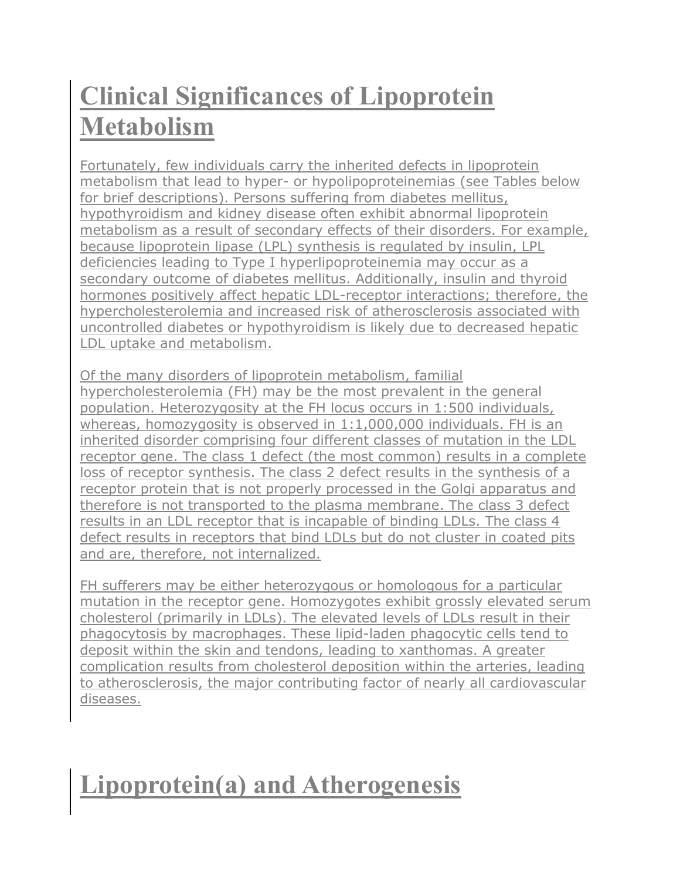# **Clinical Significances of Lipoprotein Metabolism**

Fortunately, few individuals carry the inherited defects in lipoprotein metabolism that lead to [hyper-](http://themedicalbiochemistrypage.org/hyperlipoproteinemias.php) or [hypolipoproteinemias](http://themedicalbiochemistrypage.org/hypolipoproteinemias.php) (see Tables below for brief descriptions). Persons suffering from [diabetes mellitus,](http://themedicalbiochemistrypage.org/diabetes.php) hypothyroidism and kidney disease often exhibit abnormal lipoprotein metabolism as a result of secondary effects of their disorders. For example, because lipoprotein lipase (LPL) synthesis is regulated by insulin, LPL deficiencies leading to [Type I hyperlipoproteinemia](http://www.ncbi.nlm.nih.gov/bookshelf/br.fcgi?book=gene&part=lpl) may occur as a secondary outcome of diabetes mellitus. Additionally, insulin and thyroid hormones positively affect hepatic LDL-receptor interactions; therefore, the hypercholesterolemia and increased risk of atherosclerosis associated with uncontrolled diabetes or hypothyroidism is likely due to decreased hepatic LDL uptake and metabolism.

Of the many disorders of lipoprotein metabolism, [familial](http://themedicalbiochemistrypage.org/fh.php)  [hypercholesterolemia \(FH\)](http://themedicalbiochemistrypage.org/fh.php) may be the most prevalent in the general population. Heterozygosity at the FH locus occurs in 1:500 individuals, whereas, homozygosity is observed in 1:1,000,000 individuals. FH is an inherited disorder comprising four different classes of mutation in the LDL receptor gene. The class 1 defect (the most common) results in a complete loss of receptor synthesis. The class 2 defect results in the synthesis of a receptor protein that is not properly processed in the Golgi apparatus and therefore is not transported to the plasma membrane. The class 3 defect results in an LDL receptor that is incapable of binding LDLs. The class 4 defect results in receptors that bind LDLs but do not cluster in coated pits and are, therefore, not internalized.

FH sufferers may be either heterozygous or homologous for a particular mutation in the receptor gene. Homozygotes exhibit grossly elevated serum cholesterol (primarily in LDLs). The elevated levels of LDLs result in their phagocytosis by macrophages. These lipid-laden phagocytic cells tend to deposit within the skin and tendons, leading to xanthomas. A greater complication results from cholesterol deposition within the arteries, leading to atherosclerosis, the major contributing factor of nearly all cardiovascular diseases.

# **Lipoprotein(a) and Atherogenesis**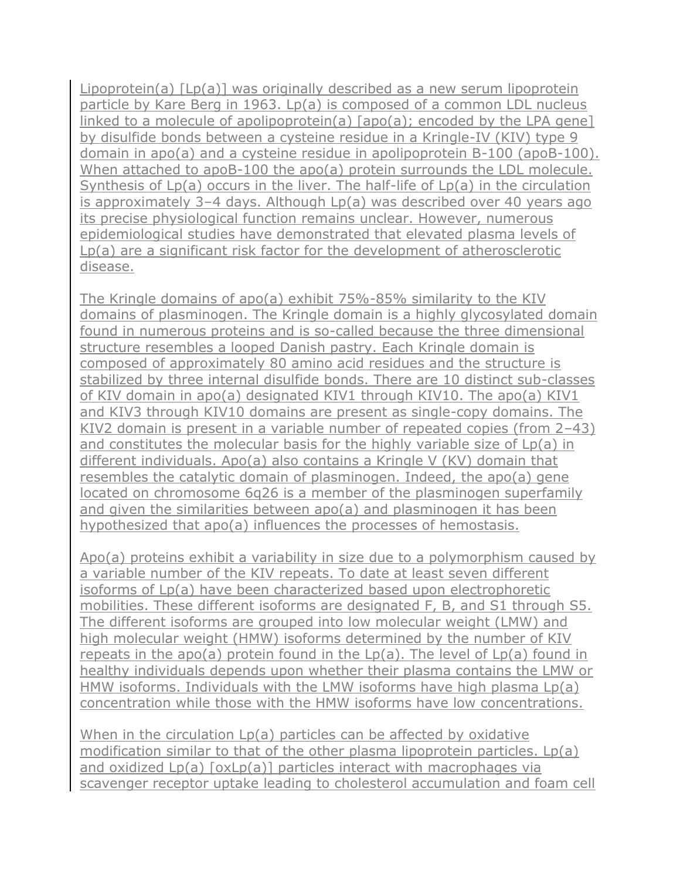Lipoprotein(a) [Lp(a)] was originally described as a new serum lipoprotein particle by Kare Berg in 1963. Lp(a) is composed of a common LDL nucleus linked to a molecule of apolipoprotein(a) [apo(a); encoded by the LPA gene] by disulfide bonds between a cysteine residue in a Kringle-IV (KIV) type 9 domain in apo(a) and a cysteine residue in apolipoprotein B-100 (apoB-100). When attached to apoB-100 the apo(a) protein surrounds the LDL molecule. Synthesis of Lp(a) occurs in the liver. The half-life of Lp(a) in the circulation is approximately 3–4 days. Although Lp(a) was described over 40 years ago its precise physiological function remains unclear. However, numerous epidemiological studies have demonstrated that elevated plasma levels of Lp(a) are a significant risk factor for the development of atherosclerotic disease.

The Kringle domains of apo(a) exhibit 75%-85% similarity to the KIV domains of [plasminogen.](http://themedicalbiochemistrypage.org/blood-coagulation.php#dissolve) The Kringle domain is a highly glycosylated domain found in numerous proteins and is so-called because the three dimensional structure resembles a looped Danish pastry. Each Kringle domain is composed of approximately 80 amino acid residues and the structure is stabilized by three internal disulfide bonds. There are 10 distinct sub-classes of KIV domain in apo(a) designated KIV1 through KIV10. The apo(a) KIV1 and KIV3 through KIV10 domains are present as single-copy domains. The KIV2 domain is present in a variable number of repeated copies (from 2-43) and constitutes the molecular basis for the highly variable size of Lp(a) in different individuals. Apo(a) also contains a Kringle V (KV) domain that resembles the catalytic domain of plasminogen. Indeed, the apo(a) gene located on chromosome 6q26 is a member of the plasminogen superfamily and given the similarities between apo(a) and plasminogen it has been hypothesized that apo(a) influences the processes of [hemostasis.](http://themedicalbiochemistrypage.org/blood-coagulation.php)

Apo(a) proteins exhibit a variability in size due to a polymorphism caused by a variable number of the KIV repeats. To date at least seven different isoforms of Lp(a) have been characterized based upon electrophoretic mobilities. These different isoforms are designated F, B, and S1 through S5. The different isoforms are grouped into low molecular weight (LMW) and high molecular weight (HMW) isoforms determined by the number of KIV repeats in the apo(a) protein found in the  $Lp(a)$ . The level of  $Lp(a)$  found in healthy individuals depends upon whether their plasma contains the LMW or HMW isoforms. Individuals with the LMW isoforms have high plasma Lp(a) concentration while those with the HMW isoforms have low concentrations.

When in the circulation Lp(a) particles can be affected by oxidative modification similar to that of the other plasma lipoprotein particles. Lp(a) and oxidized Lp(a) [oxLp(a)] particles interact with macrophages via scavenger receptor uptake leading to cholesterol accumulation and foam cell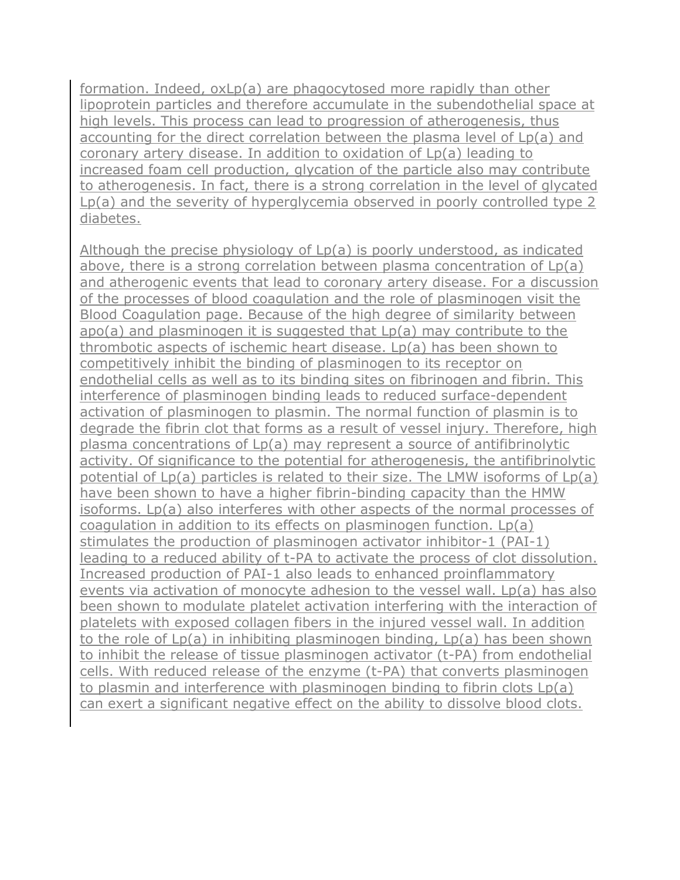formation. Indeed, oxLp(a) are phagocytosed more rapidly than other lipoprotein particles and therefore accumulate in the subendothelial space at high levels. This process can lead to progression of atherogenesis, thus accounting for the direct correlation between the plasma level of Lp(a) and coronary artery disease. In addition to oxidation of Lp(a) leading to increased foam cell production, glycation of the particle also may contribute to atherogenesis. In fact, there is a strong correlation in the level of glycated Lp(a) and the severity of hyperglycemia observed in poorly controlled type 2 diabetes.

Although the precise physiology of Lp(a) is poorly understood, as indicated above, there is a strong correlation between plasma concentration of Lp(a) and atherogenic events that lead to coronary artery disease. For a discussion of the processes of blood coagulation and the role of plasminogen visit the [Blood Coagulation page.](http://themedicalbiochemistrypage.org/blood-coagulation.php) Because of the high degree of similarity between apo(a) and plasminogen it is suggested that Lp(a) may contribute to the thrombotic aspects of ischemic heart disease. Lp(a) has been shown to competitively inhibit the binding of plasminogen to its receptor on endothelial cells as well as to its binding sites on fibrinogen and fibrin. This interference of plasminogen binding leads to reduced surface-dependent activation of plasminogen to plasmin. The normal function of plasmin is to degrade the fibrin clot that forms as a result of vessel injury. Therefore, high plasma concentrations of Lp(a) may represent a source of antifibrinolytic activity. Of significance to the potential for atherogenesis, the antifibrinolytic potential of Lp(a) particles is related to their size. The LMW isoforms of Lp(a) have been shown to have a higher fibrin-binding capacity than the HMW isoforms. Lp(a) also interferes with other aspects of the normal processes of coagulation in addition to its effects on plasminogen function. Lp(a) stimulates the production of plasminogen activator inhibitor-1 (PAI-1) leading to a reduced ability of t-PA to activate the process of clot dissolution. Increased production of PAI-1 also leads to enhanced proinflammatory events via activation of monocyte adhesion to the vessel wall. Lp(a) has also been shown to modulate platelet activation interfering with the interaction of platelets with exposed collagen fibers in the injured vessel wall. In addition to the role of Lp(a) in inhibiting plasminogen binding, Lp(a) has been shown to inhibit the release of tissue plasminogen activator (t-PA) from endothelial cells. With reduced release of the enzyme (t-PA) that converts plasminogen to plasmin and interference with plasminogen binding to fibrin clots Lp(a) can exert a significant negative effect on the ability to dissolve blood clots.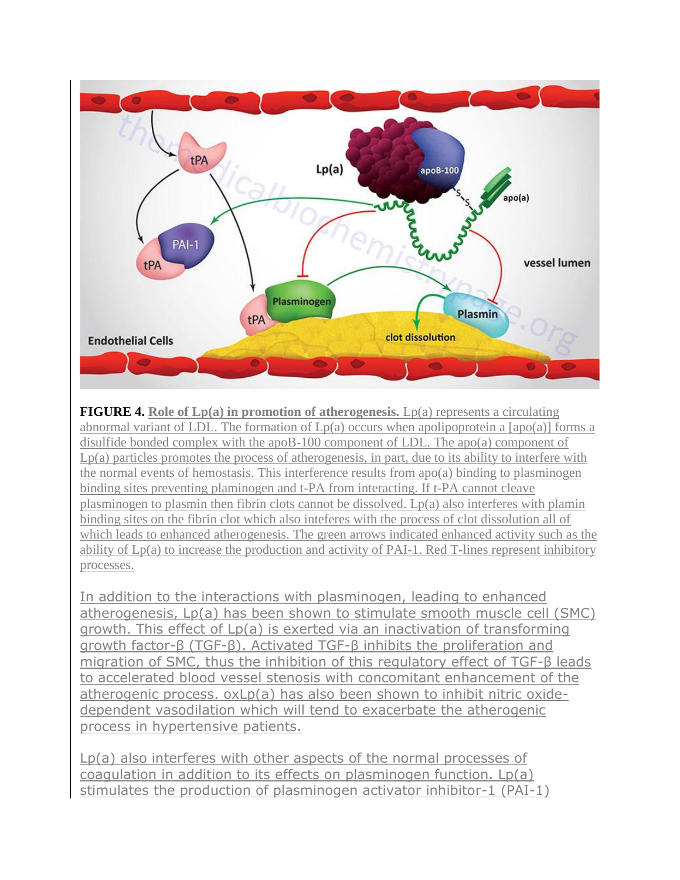

**FIGURE 4.** Role of Lp(a) in promotion of atherogenesis. Lp(a) represents a circulating abnormal variant of LDL. The formation of  $Lp(a)$  occurs when apolipoprotein a [apo(a)] forms a disulfide bonded complex with the apoB-100 component of LDL. The apo(a) component of Lp(a) particles promotes the process of atherogenesis, in part, due to its ability to interfere with the normal events of hemostasis. This interference results from  $apo(a)$  binding to plasminogen binding sites preventing plaminogen and t-PA from interacting. If t-PA cannot cleave plasminogen to plasmin then fibrin clots cannot be dissolved. Lp(a) also interferes with plamin binding sites on the fibrin clot which also inteferes with the process of clot dissolution all of which leads to enhanced atherogenesis. The green arrows indicated enhanced activity such as the ability of Lp(a) to increase the production and activity of PAI-1. Red T-lines represent inhibitory processes.

In addition to the interactions with plasminogen, leading to enhanced atherogenesis, Lp(a) has been shown to stimulate smooth muscle cell (SMC) growth. This effect of Lp(a) is exerted via an inactivation of transforming growth factor-β (TGF-β). Activated TGF-β inhibits the proliferation and migration of SMC, thus the inhibition of this regulatory effect of TGF-β leads to accelerated blood vessel stenosis with concomitant enhancement of the atherogenic process. oxLp(a) has also been shown to inhibit nitric oxidedependent vasodilation which will tend to exacerbate the atherogenic process in hypertensive patients.

Lp(a) also interferes with other aspects of the normal processes of coagulation in addition to its effects on plasminogen function. Lp(a) stimulates the production of plasminogen activator inhibitor-1 (PAI-1)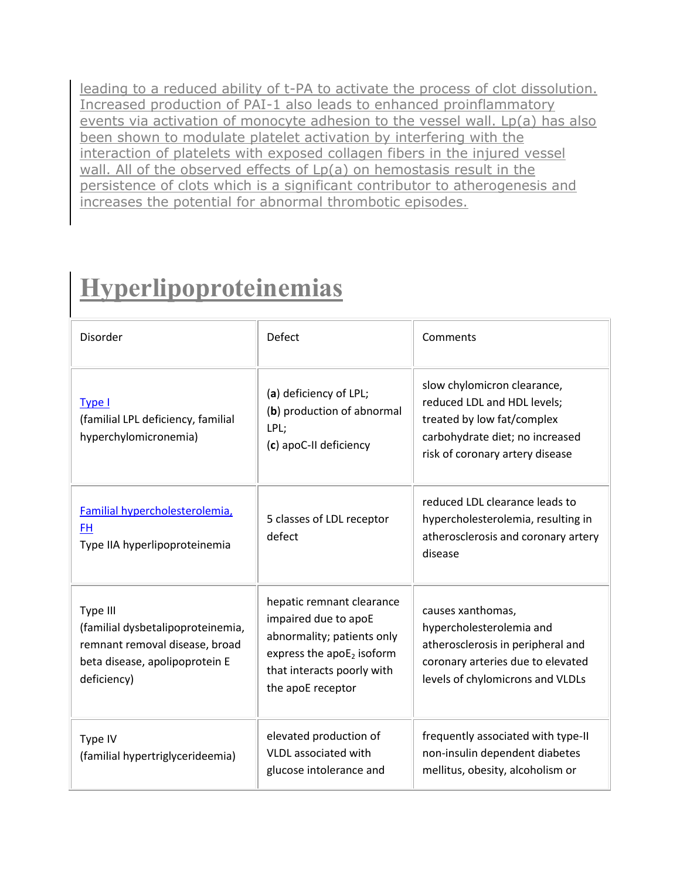leading to a reduced ability of t-PA to activate the process of clot dissolution. Increased production of PAI-1 also leads to enhanced proinflammatory events via activation of monocyte adhesion to the vessel wall. Lp(a) has also been shown to modulate platelet activation by interfering with the interaction of platelets with exposed collagen fibers in the injured vessel wall. All of the observed effects of Lp(a) on hemostasis result in the persistence of clots which is a significant contributor to atherogenesis and increases the potential for abnormal thrombotic episodes.

### **Hyperlipoproteinemias**

| <b>Disorder</b>                                                                                                                  | Defect                                                                                                                                                             | Comments                                                                                                                                                       |
|----------------------------------------------------------------------------------------------------------------------------------|--------------------------------------------------------------------------------------------------------------------------------------------------------------------|----------------------------------------------------------------------------------------------------------------------------------------------------------------|
| Type I<br>(familial LPL deficiency, familial<br>hyperchylomicronemia)                                                            | (a) deficiency of LPL;<br>(b) production of abnormal<br>LPL;<br>(c) apoC-II deficiency                                                                             | slow chylomicron clearance,<br>reduced LDL and HDL levels;<br>treated by low fat/complex<br>carbohydrate diet; no increased<br>risk of coronary artery disease |
| Familial hypercholesterolemia,<br>FH.<br>Type IIA hyperlipoproteinemia                                                           | 5 classes of LDL receptor<br>defect                                                                                                                                | reduced LDL clearance leads to<br>hypercholesterolemia, resulting in<br>atherosclerosis and coronary artery<br>disease                                         |
| Type III<br>(familial dysbetalipoproteinemia,<br>remnant removal disease, broad<br>beta disease, apolipoprotein E<br>deficiency) | hepatic remnant clearance<br>impaired due to apoE<br>abnormality; patients only<br>express the $apoE_2$ isoform<br>that interacts poorly with<br>the apoE receptor | causes xanthomas,<br>hypercholesterolemia and<br>atherosclerosis in peripheral and<br>coronary arteries due to elevated<br>levels of chylomicrons and VLDLs    |
| Type IV<br>(familial hypertriglycerideemia)                                                                                      | elevated production of<br><b>VLDL</b> associated with<br>glucose intolerance and                                                                                   | frequently associated with type-II<br>non-insulin dependent diabetes<br>mellitus, obesity, alcoholism or                                                       |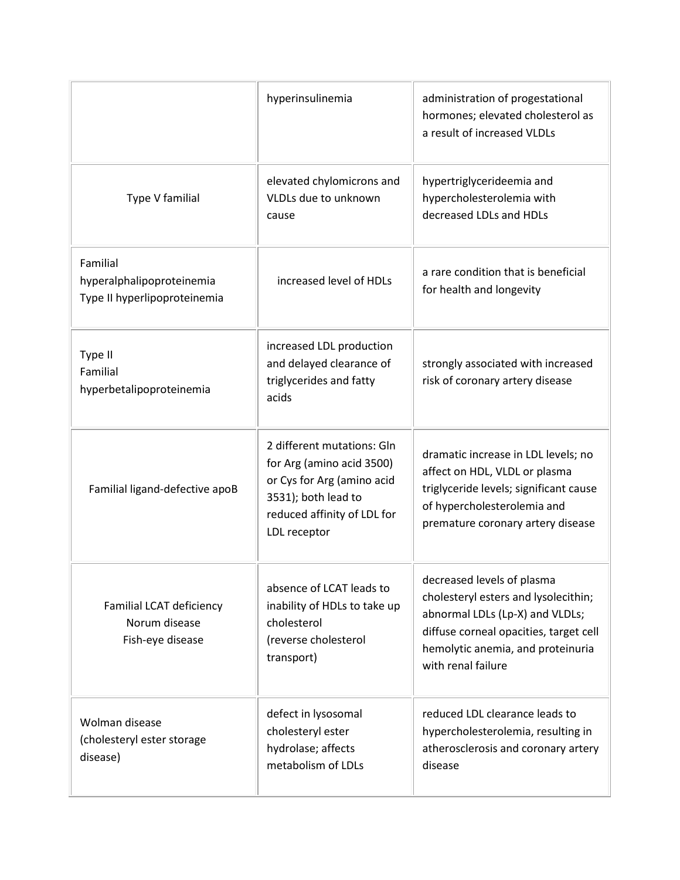|                                                                       | hyperinsulinemia                                                                                                                                            | administration of progestational<br>hormones; elevated cholesterol as<br>a result of increased VLDLs                                                                                                       |
|-----------------------------------------------------------------------|-------------------------------------------------------------------------------------------------------------------------------------------------------------|------------------------------------------------------------------------------------------------------------------------------------------------------------------------------------------------------------|
| Type V familial                                                       | elevated chylomicrons and<br>VLDLs due to unknown<br>cause                                                                                                  | hypertriglycerideemia and<br>hypercholesterolemia with<br>decreased LDLs and HDLs                                                                                                                          |
| Familial<br>hyperalphalipoproteinemia<br>Type II hyperlipoproteinemia | increased level of HDLs                                                                                                                                     | a rare condition that is beneficial<br>for health and longevity                                                                                                                                            |
| Type II<br>Familial<br>hyperbetalipoproteinemia                       | increased LDL production<br>and delayed clearance of<br>triglycerides and fatty<br>acids                                                                    | strongly associated with increased<br>risk of coronary artery disease                                                                                                                                      |
| Familial ligand-defective apoB                                        | 2 different mutations: Gln<br>for Arg (amino acid 3500)<br>or Cys for Arg (amino acid<br>3531); both lead to<br>reduced affinity of LDL for<br>LDL receptor | dramatic increase in LDL levels; no<br>affect on HDL, VLDL or plasma<br>triglyceride levels; significant cause<br>of hypercholesterolemia and<br>premature coronary artery disease                         |
| Familial LCAT deficiency<br>Norum disease<br>Fish-eye disease         | absence of LCAT leads to<br>inability of HDLs to take up<br>cholesterol<br>(reverse cholesterol<br>transport)                                               | decreased levels of plasma<br>cholesteryl esters and lysolecithin;<br>abnormal LDLs (Lp-X) and VLDLs;<br>diffuse corneal opacities, target cell<br>hemolytic anemia, and proteinuria<br>with renal failure |
| Wolman disease<br>(cholesteryl ester storage<br>disease)              | defect in lysosomal<br>cholesteryl ester<br>hydrolase; affects<br>metabolism of LDLs                                                                        | reduced LDL clearance leads to<br>hypercholesterolemia, resulting in<br>atherosclerosis and coronary artery<br>disease                                                                                     |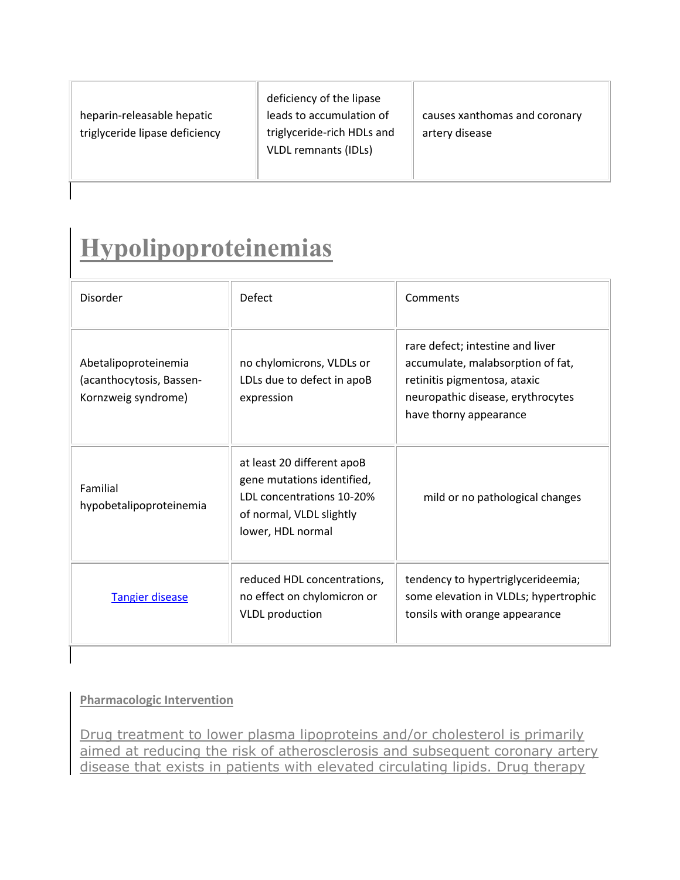| heparin-releasable hepatic<br>triglyceride lipase deficiency | deficiency of the lipase<br>leads to accumulation of<br>triglyceride-rich HDLs and<br><b>VLDL remnants (IDLs)</b> | causes xanthomas and coronary<br>artery disease |
|--------------------------------------------------------------|-------------------------------------------------------------------------------------------------------------------|-------------------------------------------------|
|--------------------------------------------------------------|-------------------------------------------------------------------------------------------------------------------|-------------------------------------------------|

## **Hypolipoproteinemias**

| <b>Disorder</b>                                                         | <b>Defect</b>                                                                                                                          | Comments                                                                                                                                                             |
|-------------------------------------------------------------------------|----------------------------------------------------------------------------------------------------------------------------------------|----------------------------------------------------------------------------------------------------------------------------------------------------------------------|
| Abetalipoproteinemia<br>(acanthocytosis, Bassen-<br>Kornzweig syndrome) | no chylomicrons, VLDLs or<br>LDLs due to defect in apoB<br>expression                                                                  | rare defect; intestine and liver<br>accumulate, malabsorption of fat,<br>retinitis pigmentosa, ataxic<br>neuropathic disease, erythrocytes<br>have thorny appearance |
| Familial<br>hypobetalipoproteinemia                                     | at least 20 different apoB<br>gene mutations identified,<br>LDL concentrations 10-20%<br>of normal, VLDL slightly<br>lower, HDL normal | mild or no pathological changes                                                                                                                                      |
| <b>Tangier disease</b>                                                  | reduced HDL concentrations,<br>no effect on chylomicron or<br><b>VLDL</b> production                                                   | tendency to hypertriglycerideemia;<br>some elevation in VLDLs; hypertrophic<br>tonsils with orange appearance                                                        |

### **Pharmacologic Intervention**

Drug treatment to lower plasma lipoproteins and/or cholesterol is primarily aimed at reducing the risk of atherosclerosis and subsequent coronary artery disease that exists in patients with elevated circulating lipids. Drug therapy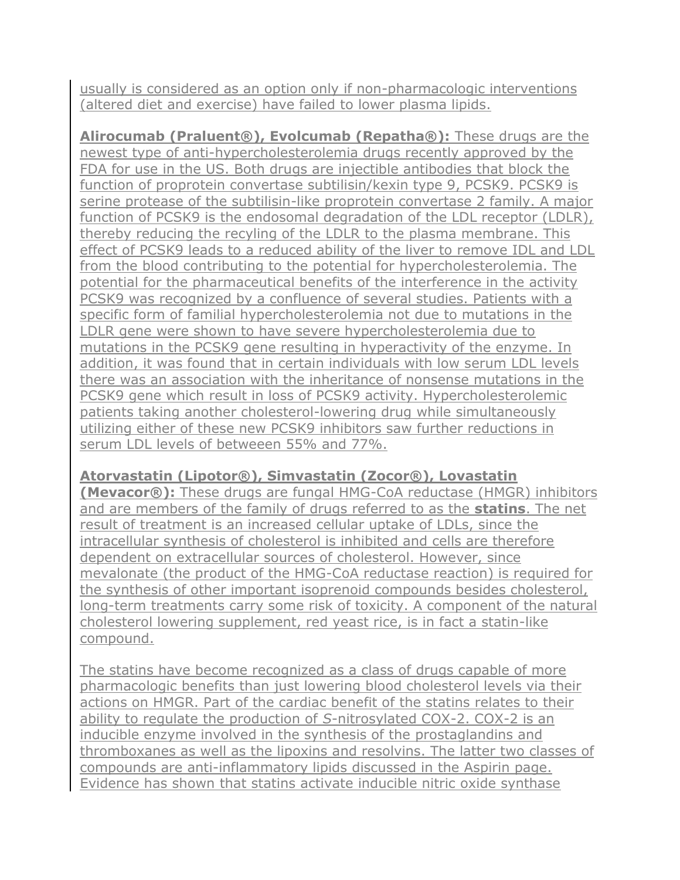usually is considered as an option only if non-pharmacologic interventions (altered diet and exercise) have failed to lower plasma lipids.

**Alirocumab (Praluent®), Evolcumab (Repatha®):** These drugs are the newest type of anti-hypercholesterolemia drugs recently approved by the FDA for use in the US. Both drugs are injectible antibodies that block the function of proprotein convertase subtilisin/kexin type 9, PCSK9. PCSK9 is serine protease of the subtilisin-like proprotein convertase 2 family. A major function of PCSK9 is the endosomal degradation of the LDL receptor (LDLR), thereby reducing the recyling of the LDLR to the plasma membrane. This effect of PCSK9 leads to a reduced ability of the liver to remove IDL and LDL from the blood contributing to the potential for hypercholesterolemia. The potential for the pharmaceutical benefits of the interference in the activity PCSK9 was recognized by a confluence of several studies. Patients with a specific form of familial hypercholesterolemia not due to mutations in the LDLR gene were shown to have severe hypercholesterolemia due to mutations in the PCSK9 gene resulting in hyperactivity of the enzyme. In addition, it was found that in certain individuals with low serum LDL levels there was an association with the inheritance of nonsense mutations in the PCSK9 gene which result in loss of PCSK9 activity. Hypercholesterolemic patients taking another cholesterol-lowering drug while simultaneously utilizing either of these new PCSK9 inhibitors saw further reductions in serum LDL levels of betweeen 55% and 77%.

### **Atorvastatin (Lipotor®), Simvastatin (Zocor®), Lovastatin**

**(Mevacor®):** These drugs are fungal HMG-CoA reductase (HMGR) inhibitors and are members of the family of drugs referred to as the **statins**. The net result of treatment is an increased cellular uptake of LDLs, since the intracellular synthesis of cholesterol is inhibited and cells are therefore dependent on extracellular sources of cholesterol. However, since mevalonate (the product of the HMG-CoA reductase reaction) is required for the synthesis of other important isoprenoid compounds besides cholesterol, long-term treatments carry some risk of toxicity. A component of the natural cholesterol lowering supplement, red yeast rice, is in fact a statin-like compound.

The statins have become recognized as a class of drugs capable of more pharmacologic benefits than just lowering blood cholesterol levels via their actions on HMGR. Part of the cardiac benefit of the statins relates to their ability to regulate the production of *S*-nitrosylated COX-2. COX-2 is an inducible enzyme involved in the synthesis of the [prostaglandins and](http://themedicalbiochemistrypage.org/lipid-synthesis.php#eicosanoids)  [thromboxanes](http://themedicalbiochemistrypage.org/lipid-synthesis.php#eicosanoids) as well as the lipoxins and resolvins. The latter two classes of compounds are anti-inflammatory lipids discussed in the [Aspirin page.](http://themedicalbiochemistrypage.org/aspirin.php) Evidence has shown that statins activate inducible nitric oxide synthase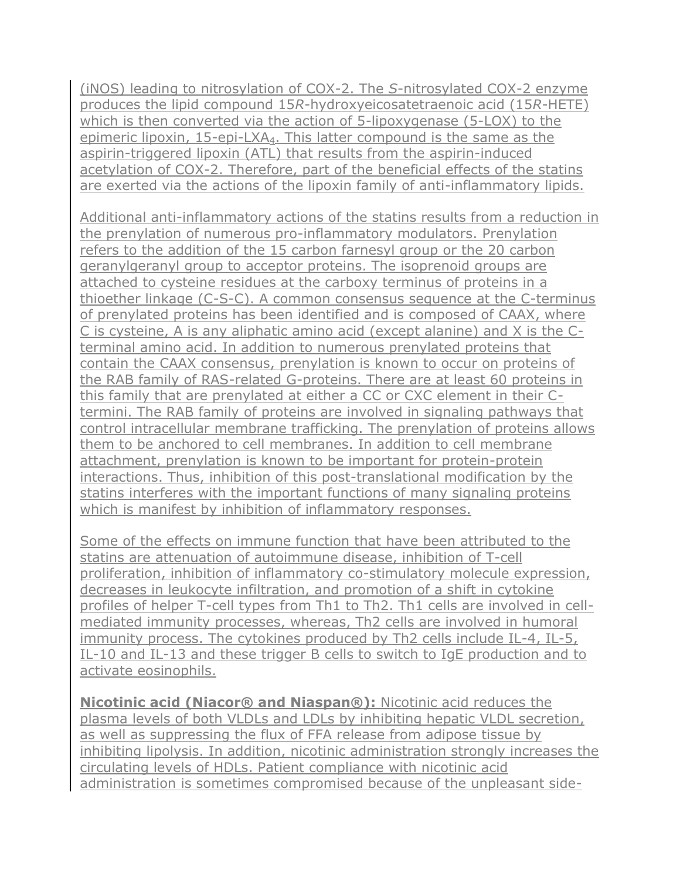(iNOS) leading to nitrosylation of COX-2. The *S*-nitrosylated COX-2 enzyme produces the lipid compound 15*R*-hydroxyeicosatetraenoic acid (15*R*-HETE) which is then converted via the action of 5-lipoxygenase (5-LOX) to the epimeric lipoxin, 15-epi-LXA4. This latter compound is the same as the aspirin-triggered lipoxin (ATL) that results from the aspirin-induced acetylation of COX-2. Therefore, part of the beneficial effects of the statins are exerted via the actions of the lipoxin family of anti-inflammatory lipids.

Additional anti-inflammatory actions of the statins results from a reduction in the [prenylation](http://themedicalbiochemistrypage.org/protein-modifications.php#prenylation) of numerous pro-inflammatory modulators. Prenylation refers to the addition of the 15 carbon farnesyl group or the 20 carbon geranylgeranyl group to acceptor proteins. The isoprenoid groups are attached to cysteine residues at the carboxy terminus of proteins in a thioether linkage (C-S-C). A common consensus sequence at the C-terminus of prenylated proteins has been identified and is composed of CAAX, where C is cysteine, A is any aliphatic amino acid (except alanine) and X is the Cterminal amino acid. In addition to numerous prenylated proteins that contain the CAAX consensus, prenylation is known to occur on proteins of the RAB family of RAS-related G-proteins. There are at least 60 proteins in this family that are prenylated at either a CC or CXC element in their Ctermini. The RAB family of proteins are involved in signaling pathways that control intracellular membrane trafficking. The prenylation of proteins allows them to be anchored to cell membranes. In addition to cell membrane attachment, prenylation is known to be important for protein-protein interactions. Thus, inhibition of this post-translational modification by the statins interferes with the important functions of many signaling proteins which is manifest by inhibition of inflammatory responses.

Some of the effects on immune function that have been attributed to the statins are attenuation of autoimmune disease, inhibition of T-cell proliferation, inhibition of inflammatory co-stimulatory molecule expression, decreases in leukocyte infiltration, and promotion of a shift in cytokine profiles of helper T-cell types from Th1 to Th2. Th1 cells are involved in cellmediated immunity processes, whereas, Th2 cells are involved in humoral immunity process. The [cytokines](http://themedicalbiochemistrypage.org/growth-factors.php#table2) produced by Th2 cells include IL-4, IL-5, IL-10 and IL-13 and these trigger B cells to switch to IgE production and to activate eosinophils.

**Nicotinic acid (Niacor® and Niaspan®):** Nicotinic acid reduces the plasma levels of both VLDLs and LDLs by inhibiting hepatic VLDL secretion, as well as suppressing the flux of FFA release from adipose tissue by inhibiting lipolysis. In addition, nicotinic administration strongly increases the circulating levels of HDLs. Patient compliance with nicotinic acid administration is sometimes compromised because of the unpleasant side-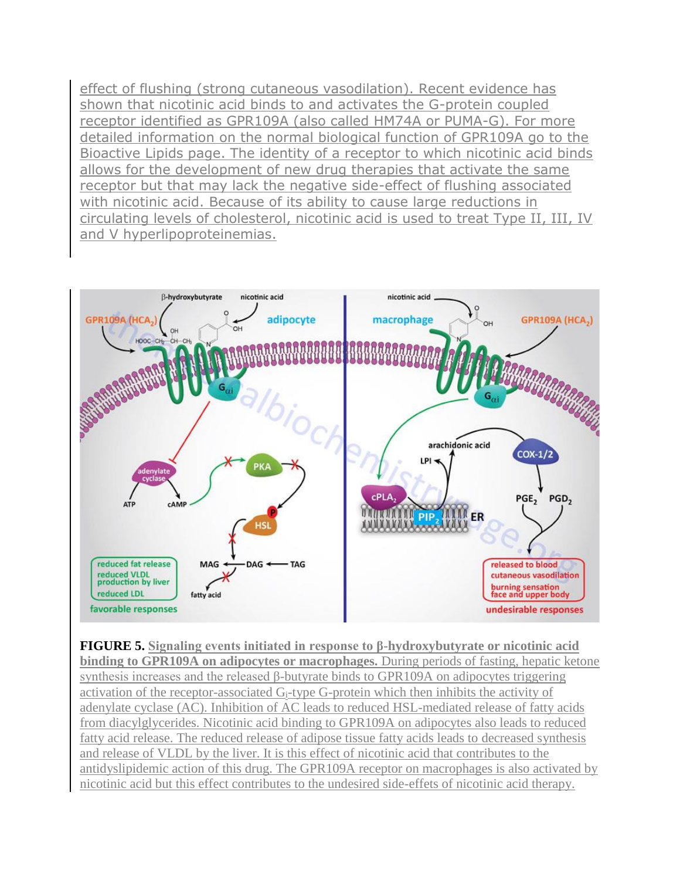effect of flushing (strong cutaneous vasodilation). Recent evidence has shown that nicotinic acid binds to and activates the G-protein coupled receptor identified as GPR109A (also called HM74A or PUMA-G). For more detailed information on the normal biological function of GPR109A go to the [Bioactive Lipids](http://themedicalbiochemistrypage.org/bioactivelipids.php) page. The identity of a receptor to which nicotinic acid binds allows for the development of new drug therapies that activate the same receptor but that may lack the negative side-effect of flushing associated with nicotinic acid. Because of its ability to cause large reductions in circulating levels of cholesterol, nicotinic acid is used to treat Type II, III, IV and V hyperlipoproteinemias.



**FIGURE 5. Signaling events initiated in response to β-hydroxybutyrate or nicotinic acid binding to GPR109A on adipocytes or macrophages.** During periods of fasting, hepatic ketone synthesis increases and the released β-butyrate binds to GPR109A on adipocytes triggering activation of the receptor-associated G<sub>i</sub>-type G-protein which then inhibits the activity of adenylate cyclase (AC). Inhibition of AC leads to reduced HSL-mediated release of fatty acids from diacylglycerides. Nicotinic acid binding to GPR109A on adipocytes also leads to reduced fatty acid release. The reduced release of adipose tissue fatty acids leads to decreased synthesis and release of VLDL by the liver. It is this effect of nicotinic acid that contributes to the antidyslipidemic action of this drug. The GPR109A receptor on macrophages is also activated by nicotinic acid but this effect contributes to the undesired side-effets of nicotinic acid therapy.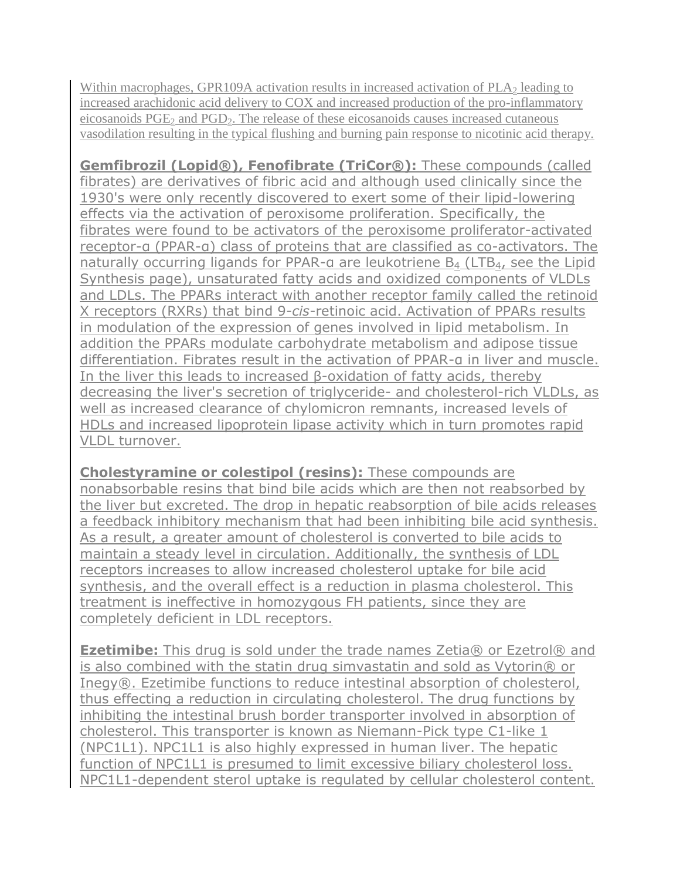Within macrophages, GPR109A activation results in increased activation of  $PLA<sub>2</sub>$  leading to increased arachidonic acid delivery to COX and increased production of the pro-inflammatory eicosanoids  $PGE_2$  and  $PGD_2$ . The release of these eicosanoids causes increased cutaneous vasodilation resulting in the typical flushing and burning pain response to nicotinic acid therapy.

**Gemfibrozil (Lopid®), Fenofibrate (TriCor®):** These compounds (called fibrates) are derivatives of fibric acid and although used clinically since the 1930's were only recently discovered to exert some of their lipid-lowering effects via the activation of peroxisome proliferation. Specifically, the fibrates were found to be activators of the [peroxisome proliferator-activated](http://themedicalbiochemistrypage.org/ppar.php)  [receptor-](http://themedicalbiochemistrypage.org/ppar.php)α (PPAR-α) class of proteins that are classified as co-activators. The naturally occurring ligands for PPAR-α are leukotriene B<sub>4</sub> (LTB<sub>4</sub>, see the Lipid [Synthesis page\)](http://themedicalbiochemistrypage.org/lipid-synthesis.php#eicosanoids), unsaturated fatty acids and oxidized components of VLDLs and LDLs. The PPARs interact with another receptor family called the retinoid X receptors (RXRs) that bind 9-*cis*-retinoic acid. Activation of PPARs results in modulation of the expression of genes involved in lipid metabolism. In addition the PPARs modulate carbohydrate metabolism and adipose tissue differentiation. Fibrates result in the activation of PPAR-α in liver and muscle. In the liver this leads to increased β-oxidation of fatty acids, thereby decreasing the liver's secretion of triglyceride- and cholesterol-rich VLDLs, as well as increased clearance of chylomicron remnants, increased levels of HDLs and increased lipoprotein lipase activity which in turn promotes rapid VLDL turnover.

**Cholestyramine or colestipol (resins):** These compounds are nonabsorbable resins that bind bile acids which are then not reabsorbed by the liver but excreted. The drop in hepatic reabsorption of bile acids releases a feedback inhibitory mechanism that had been inhibiting bile acid synthesis. As a result, a greater amount of cholesterol is converted to bile acids to maintain a steady level in circulation. Additionally, the synthesis of LDL receptors increases to allow increased cholesterol uptake for bile acid synthesis, and the overall effect is a reduction in plasma cholesterol. This treatment is ineffective in homozygous FH patients, since they are completely deficient in LDL receptors.

**Ezetimibe:** This drug is sold under the trade names Zetia<sup>®</sup> or Ezetrol<sup>®</sup> and is also combined with the statin drug simvastatin and sold as Vytorin® or Inegy®. Ezetimibe functions to reduce intestinal absorption of cholesterol, thus effecting a reduction in circulating cholesterol. The drug functions by inhibiting the intestinal brush border transporter involved in absorption of cholesterol. This transporter is known as Niemann-Pick type C1-like 1 (NPC1L1). NPC1L1 is also highly expressed in human liver. The hepatic function of NPC1L1 is presumed to limit excessive biliary cholesterol loss. NPC1L1-dependent sterol uptake is regulated by cellular cholesterol content.